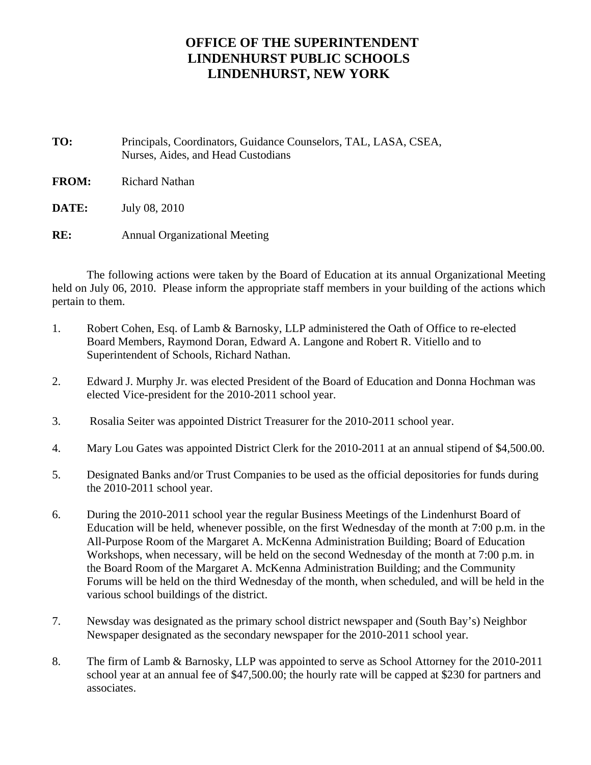## **OFFICE OF THE SUPERINTENDENT LINDENHURST PUBLIC SCHOOLS LINDENHURST, NEW YORK**

- **TO:** Principals, Coordinators, Guidance Counselors, TAL, LASA, CSEA, Nurses, Aides, and Head Custodians
- **FROM:** Richard Nathan
- **DATE:** July 08, 2010
- **RE:** Annual Organizational Meeting

The following actions were taken by the Board of Education at its annual Organizational Meeting held on July 06, 2010. Please inform the appropriate staff members in your building of the actions which pertain to them.

- 1. Robert Cohen, Esq. of Lamb & Barnosky, LLP administered the Oath of Office to re-elected Board Members, Raymond Doran, Edward A. Langone and Robert R. Vitiello and to Superintendent of Schools, Richard Nathan.
- 2. Edward J. Murphy Jr. was elected President of the Board of Education and Donna Hochman was elected Vice-president for the 2010-2011 school year.
- 3. Rosalia Seiter was appointed District Treasurer for the 2010-2011 school year.
- 4. Mary Lou Gates was appointed District Clerk for the 2010-2011 at an annual stipend of \$4,500.00.
- 5. Designated Banks and/or Trust Companies to be used as the official depositories for funds during the 2010-2011 school year.
- 6. During the 2010-2011 school year the regular Business Meetings of the Lindenhurst Board of Education will be held, whenever possible, on the first Wednesday of the month at 7:00 p.m. in the All-Purpose Room of the Margaret A. McKenna Administration Building; Board of Education Workshops, when necessary, will be held on the second Wednesday of the month at 7:00 p.m. in the Board Room of the Margaret A. McKenna Administration Building; and the Community Forums will be held on the third Wednesday of the month, when scheduled, and will be held in the various school buildings of the district.
- 7. Newsday was designated as the primary school district newspaper and (South Bay's) Neighbor Newspaper designated as the secondary newspaper for the 2010-2011 school year.
- 8. The firm of Lamb & Barnosky, LLP was appointed to serve as School Attorney for the 2010-2011 school year at an annual fee of \$47,500.00; the hourly rate will be capped at \$230 for partners and associates.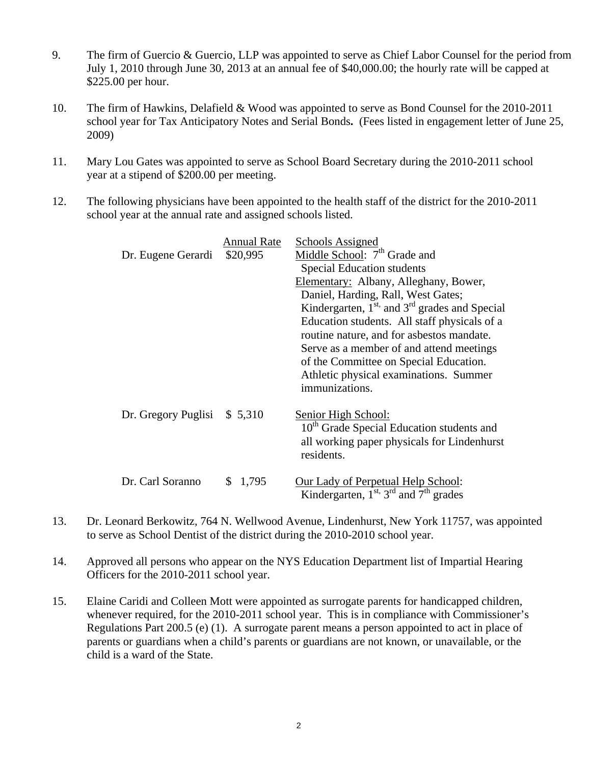- 9. The firm of Guercio & Guercio, LLP was appointed to serve as Chief Labor Counsel for the period from July 1, 2010 through June 30, 2013 at an annual fee of \$40,000.00; the hourly rate will be capped at \$225.00 per hour.
- 10. The firm of Hawkins, Delafield & Wood was appointed to serve as Bond Counsel for the 2010-2011 school year for Tax Anticipatory Notes and Serial Bonds**.** (Fees listed in engagement letter of June 25, 2009)
- 11. Mary Lou Gates was appointed to serve as School Board Secretary during the 2010-2011 school year at a stipend of \$200.00 per meeting.
- 12. The following physicians have been appointed to the health staff of the district for the 2010-2011 school year at the annual rate and assigned schools listed.

| Dr. Eugene Gerardi           | Annual Rate<br>\$20,995 | <b>Schools Assigned</b><br>Middle School: 7 <sup>th</sup> Grade and<br><b>Special Education students</b><br>Elementary: Albany, Alleghany, Bower,<br>Daniel, Harding, Rall, West Gates;<br>Kindergarten, $1st$ , and $3rd$ grades and Special<br>Education students. All staff physicals of a<br>routine nature, and for asbestos mandate.<br>Serve as a member of and attend meetings<br>of the Committee on Special Education.<br>Athletic physical examinations. Summer<br>immunizations. |
|------------------------------|-------------------------|----------------------------------------------------------------------------------------------------------------------------------------------------------------------------------------------------------------------------------------------------------------------------------------------------------------------------------------------------------------------------------------------------------------------------------------------------------------------------------------------|
| Dr. Gregory Puglisi $$5,310$ |                         | Senior High School:<br>10 <sup>th</sup> Grade Special Education students and<br>all working paper physicals for Lindenhurst<br>residents.                                                                                                                                                                                                                                                                                                                                                    |
| Dr. Carl Soranno             | \$1,795                 | Our Lady of Perpetual Help School:<br>Kindergarten, $1^{st}$ , $3^{rd}$ and $7^{th}$ grades                                                                                                                                                                                                                                                                                                                                                                                                  |

- 13. Dr. Leonard Berkowitz, 764 N. Wellwood Avenue, Lindenhurst, New York 11757, was appointed to serve as School Dentist of the district during the 2010-2010 school year.
- 14. Approved all persons who appear on the NYS Education Department list of Impartial Hearing Officers for the 2010-2011 school year.
- 15. Elaine Caridi and Colleen Mott were appointed as surrogate parents for handicapped children, whenever required, for the 2010-2011 school year. This is in compliance with Commissioner's Regulations Part 200.5 (e) (1). A surrogate parent means a person appointed to act in place of parents or guardians when a child's parents or guardians are not known, or unavailable, or the child is a ward of the State.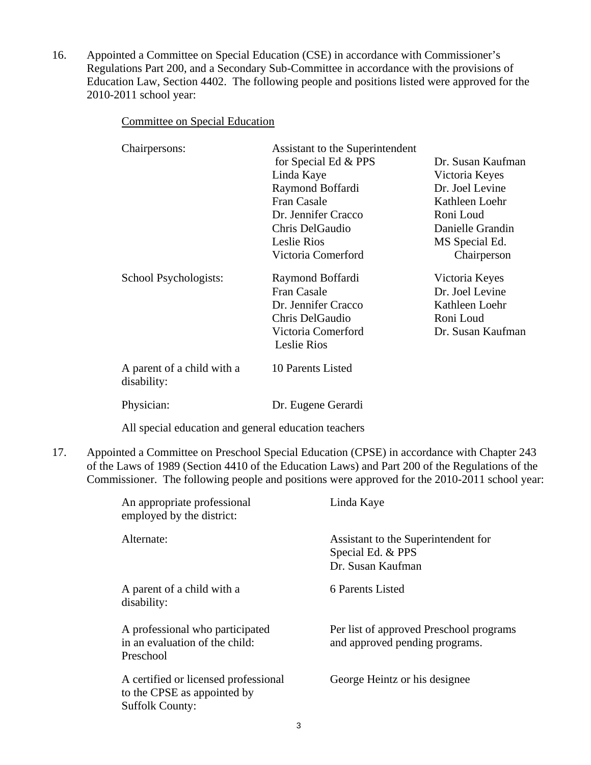16. Appointed a Committee on Special Education (CSE) in accordance with Commissioner's Regulations Part 200, and a Secondary Sub-Committee in accordance with the provisions of Education Law, Section 4402. The following people and positions listed were approved for the 2010-2011 school year:

Committee on Special Education

| Chairpersons:                             | Assistant to the Superintendent<br>for Special Ed & PPS<br>Linda Kaye<br>Raymond Boffardi<br><b>Fran Casale</b><br>Dr. Jennifer Cracco<br>Chris DelGaudio<br>Leslie Rios | Dr. Susan Kaufman<br>Victoria Keyes<br>Dr. Joel Levine<br>Kathleen Loehr<br>Roni Loud<br>Danielle Grandin<br>MS Special Ed. |
|-------------------------------------------|--------------------------------------------------------------------------------------------------------------------------------------------------------------------------|-----------------------------------------------------------------------------------------------------------------------------|
| School Psychologists:                     | Victoria Comerford<br>Raymond Boffardi<br>Fran Casale<br>Dr. Jennifer Cracco<br>Chris DelGaudio<br>Victoria Comerford<br><b>Leslie Rios</b>                              | Chairperson<br>Victoria Keyes<br>Dr. Joel Levine<br>Kathleen Loehr<br>Roni Loud<br>Dr. Susan Kaufman                        |
| A parent of a child with a<br>disability: | 10 Parents Listed                                                                                                                                                        |                                                                                                                             |
| Physician:                                | Dr. Eugene Gerardi                                                                                                                                                       |                                                                                                                             |

All special education and general education teachers

17. Appointed a Committee on Preschool Special Education (CPSE) in accordance with Chapter 243 of the Laws of 1989 (Section 4410 of the Education Laws) and Part 200 of the Regulations of the Commissioner. The following people and positions were approved for the 2010-2011 school year:

| An appropriate professional<br>employed by the district:                                      | Linda Kaye                                                                    |
|-----------------------------------------------------------------------------------------------|-------------------------------------------------------------------------------|
| Alternate:                                                                                    | Assistant to the Superintendent for<br>Special Ed. & PPS<br>Dr. Susan Kaufman |
| A parent of a child with a<br>disability:                                                     | 6 Parents Listed                                                              |
| A professional who participated<br>in an evaluation of the child:<br>Preschool                | Per list of approved Preschool programs<br>and approved pending programs.     |
| A certified or licensed professional<br>to the CPSE as appointed by<br><b>Suffolk County:</b> | George Heintz or his designee                                                 |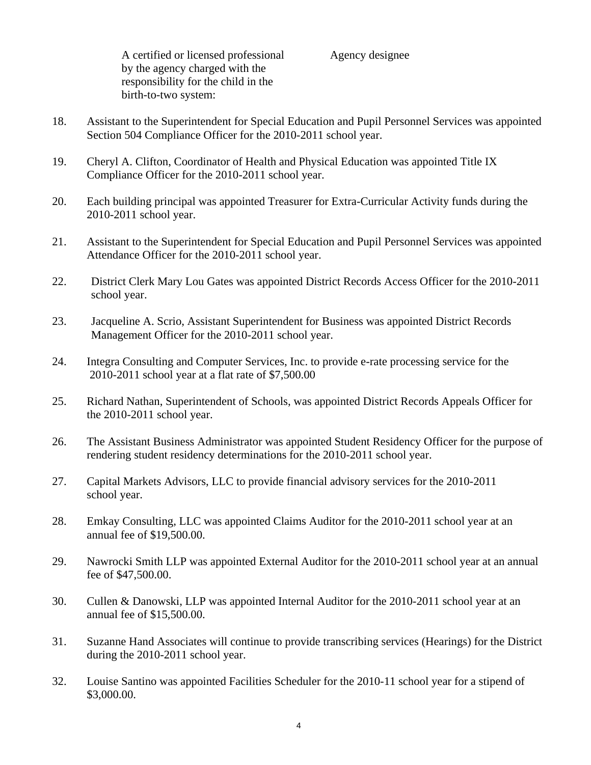A certified or licensed professional Agency designee by the agency charged with the responsibility for the child in the birth-to-two system:

- 18. Assistant to the Superintendent for Special Education and Pupil Personnel Services was appointed Section 504 Compliance Officer for the 2010-2011 school year.
- 19. Cheryl A. Clifton, Coordinator of Health and Physical Education was appointed Title IX Compliance Officer for the 2010-2011 school year.
- 20. Each building principal was appointed Treasurer for Extra-Curricular Activity funds during the 2010-2011 school year.
- 21. Assistant to the Superintendent for Special Education and Pupil Personnel Services was appointed Attendance Officer for the 2010-2011 school year.
- 22. District Clerk Mary Lou Gates was appointed District Records Access Officer for the 2010-2011 school year.
- 23. Jacqueline A. Scrio, Assistant Superintendent for Business was appointed District Records Management Officer for the 2010-2011 school year.
- 24. Integra Consulting and Computer Services, Inc. to provide e-rate processing service for the 2010-2011 school year at a flat rate of \$7,500.00
- 25. Richard Nathan, Superintendent of Schools, was appointed District Records Appeals Officer for the 2010-2011 school year.
- 26. The Assistant Business Administrator was appointed Student Residency Officer for the purpose of rendering student residency determinations for the 2010-2011 school year.
- 27. Capital Markets Advisors, LLC to provide financial advisory services for the 2010-2011 school year.
- 28. Emkay Consulting, LLC was appointed Claims Auditor for the 2010-2011 school year at an annual fee of \$19,500.00.
- 29. Nawrocki Smith LLP was appointed External Auditor for the 2010-2011 school year at an annual fee of \$47,500.00.
- 30. Cullen & Danowski, LLP was appointed Internal Auditor for the 2010-2011 school year at an annual fee of \$15,500.00.
- 31. Suzanne Hand Associates will continue to provide transcribing services (Hearings) for the District during the 2010-2011 school year.
- 32. Louise Santino was appointed Facilities Scheduler for the 2010-11 school year for a stipend of \$3,000.00.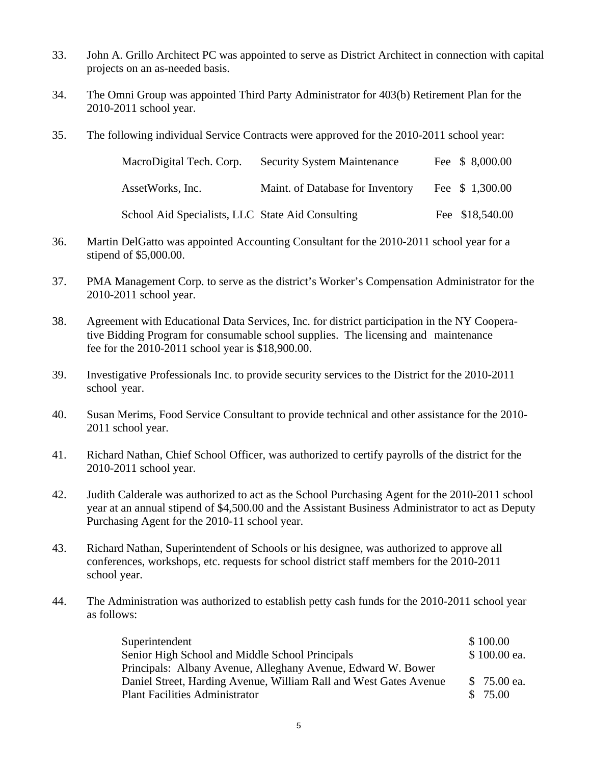- 33. John A. Grillo Architect PC was appointed to serve as District Architect in connection with capital projects on an as-needed basis.
- 34. The Omni Group was appointed Third Party Administrator for 403(b) Retirement Plan for the 2010-2011 school year.
- 35. The following individual Service Contracts were approved for the 2010-2011 school year:

| MacroDigital Tech. Corp.                         | <b>Security System Maintenance</b> | Fee \$ 8,000.00 |
|--------------------------------------------------|------------------------------------|-----------------|
| AssetWorks, Inc.                                 | Maint. of Database for Inventory   | Fee \$ 1,300.00 |
| School Aid Specialists, LLC State Aid Consulting |                                    | Fee \$18,540.00 |

- 36. Martin DelGatto was appointed Accounting Consultant for the 2010-2011 school year for a stipend of \$5,000.00.
- 37. PMA Management Corp. to serve as the district's Worker's Compensation Administrator for the 2010-2011 school year.
- 38. Agreement with Educational Data Services, Inc. for district participation in the NY Coopera tive Bidding Program for consumable school supplies. The licensing and maintenance fee for the 2010-2011 school year is \$18,900.00.
- 39. Investigative Professionals Inc. to provide security services to the District for the 2010-2011 school year.
- 40. Susan Merims, Food Service Consultant to provide technical and other assistance for the 2010- 2011 school year.
- 41. Richard Nathan, Chief School Officer, was authorized to certify payrolls of the district for the 2010-2011 school year.
- 42. Judith Calderale was authorized to act as the School Purchasing Agent for the 2010-2011 school year at an annual stipend of \$4,500.00 and the Assistant Business Administrator to act as Deputy Purchasing Agent for the 2010-11 school year.
- 43. Richard Nathan, Superintendent of Schools or his designee, was authorized to approve all conferences, workshops, etc. requests for school district staff members for the 2010-2011 school year.
- 44. The Administration was authorized to establish petty cash funds for the 2010-2011 school year as follows:

| Superintendent                                                    | \$100.00     |
|-------------------------------------------------------------------|--------------|
| Senior High School and Middle School Principals                   | \$100.00 ea. |
| Principals: Albany Avenue, Alleghany Avenue, Edward W. Bower      |              |
| Daniel Street, Harding Avenue, William Rall and West Gates Avenue | \$75.00 ea.  |
| <b>Plant Facilities Administrator</b>                             | \$ 75.00     |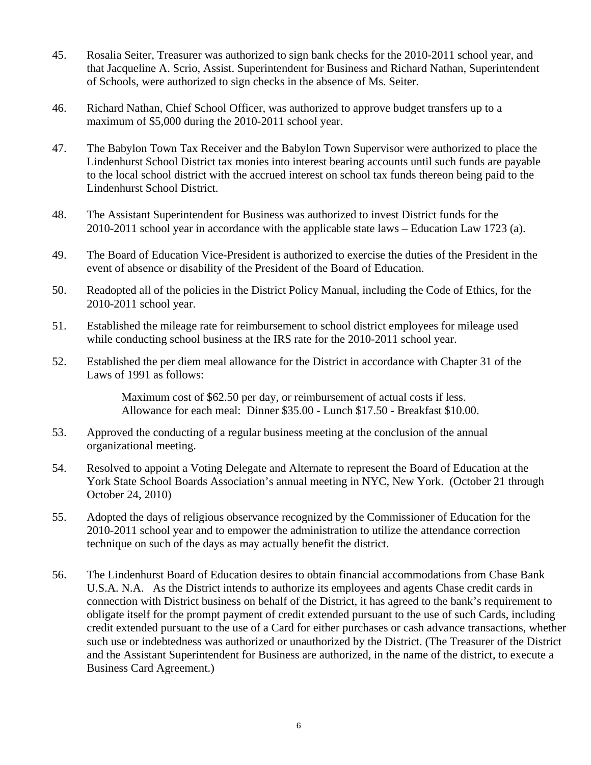- 45. Rosalia Seiter, Treasurer was authorized to sign bank checks for the 2010-2011 school year, and that Jacqueline A. Scrio, Assist. Superintendent for Business and Richard Nathan, Superintendent of Schools, were authorized to sign checks in the absence of Ms. Seiter.
- 46. Richard Nathan, Chief School Officer, was authorized to approve budget transfers up to a maximum of \$5,000 during the 2010-2011 school year.
- 47. The Babylon Town Tax Receiver and the Babylon Town Supervisor were authorized to place the Lindenhurst School District tax monies into interest bearing accounts until such funds are payable to the local school district with the accrued interest on school tax funds thereon being paid to the Lindenhurst School District.
- 48. The Assistant Superintendent for Business was authorized to invest District funds for the 2010-2011 school year in accordance with the applicable state laws – Education Law 1723 (a).
- 49. The Board of Education Vice-President is authorized to exercise the duties of the President in the event of absence or disability of the President of the Board of Education.
- 50. Readopted all of the policies in the District Policy Manual, including the Code of Ethics, for the 2010-2011 school year.
- 51. Established the mileage rate for reimbursement to school district employees for mileage used while conducting school business at the IRS rate for the 2010-2011 school year.
- 52. Established the per diem meal allowance for the District in accordance with Chapter 31 of the Laws of 1991 as follows:

Maximum cost of \$62.50 per day, or reimbursement of actual costs if less. Allowance for each meal: Dinner \$35.00 - Lunch \$17.50 - Breakfast \$10.00.

- 53. Approved the conducting of a regular business meeting at the conclusion of the annual organizational meeting.
- 54. Resolved to appoint a Voting Delegate and Alternate to represent the Board of Education at the York State School Boards Association's annual meeting in NYC, New York. (October 21 through October 24, 2010)
- 55. Adopted the days of religious observance recognized by the Commissioner of Education for the 2010-2011 school year and to empower the administration to utilize the attendance correction technique on such of the days as may actually benefit the district.
- 56. The Lindenhurst Board of Education desires to obtain financial accommodations from Chase Bank U.S.A. N.A. As the District intends to authorize its employees and agents Chase credit cards in connection with District business on behalf of the District, it has agreed to the bank's requirement to obligate itself for the prompt payment of credit extended pursuant to the use of such Cards, including credit extended pursuant to the use of a Card for either purchases or cash advance transactions, whether such use or indebtedness was authorized or unauthorized by the District. (The Treasurer of the District and the Assistant Superintendent for Business are authorized, in the name of the district, to execute a Business Card Agreement.)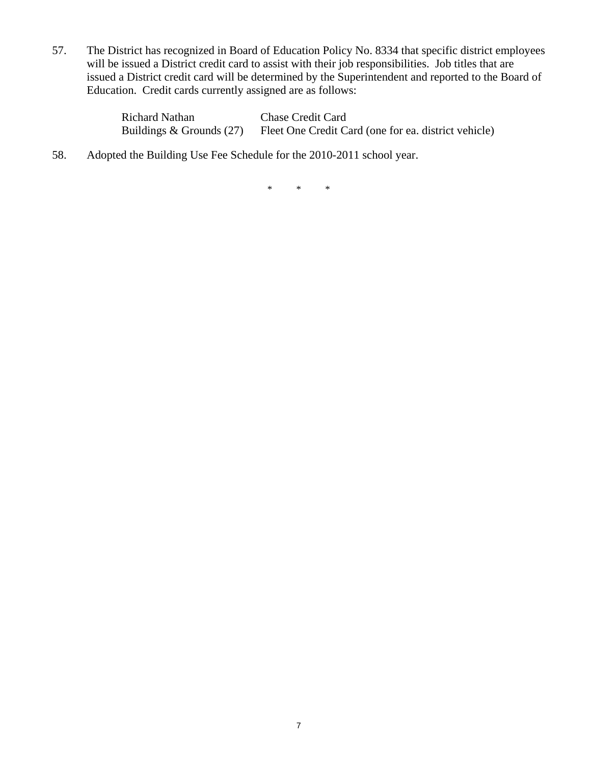57. The District has recognized in Board of Education Policy No. 8334 that specific district employees will be issued a District credit card to assist with their job responsibilities. Job titles that are issued a District credit card will be determined by the Superintendent and reported to the Board of Education. Credit cards currently assigned are as follows:

| Richard Nathan               | <b>Chase Credit Card</b>                             |
|------------------------------|------------------------------------------------------|
| Buildings $&$ Grounds $(27)$ | Fleet One Credit Card (one for ea. district vehicle) |

58. Adopted the Building Use Fee Schedule for the 2010-2011 school year.

\* \* \*